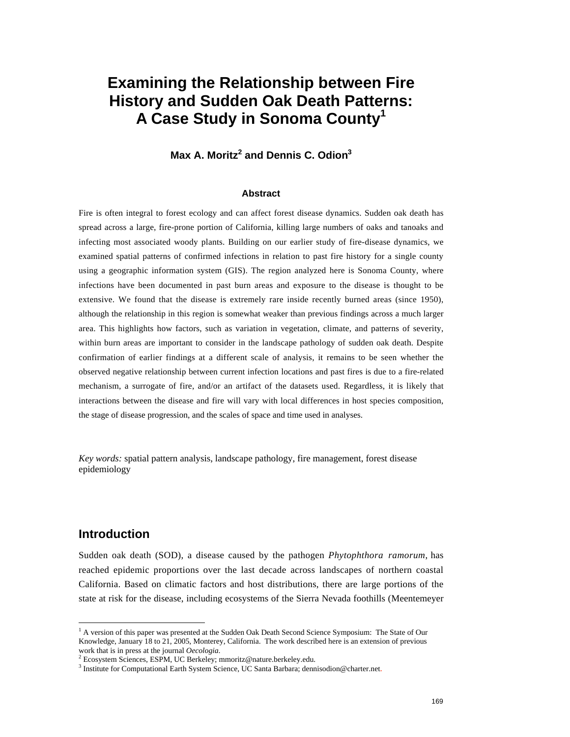# **Examining the Relationship between Fire History and Sudden Oak Death Patterns: A Case Study in Sonoma County<sup>1</sup>**

# **Max A. Moritz<sup>2</sup> and Dennis C. Odion<sup>3</sup>**

#### **Abstract**

Fire is often integral to forest ecology and can affect forest disease dynamics. Sudden oak death has spread across a large, fire-prone portion of California, killing large numbers of oaks and tanoaks and infecting most associated woody plants. Building on our earlier study of fire-disease dynamics, we examined spatial patterns of confirmed infections in relation to past fire history for a single county using a geographic information system (GIS). The region analyzed here is Sonoma County, where infections have been documented in past burn areas and exposure to the disease is thought to be extensive. We found that the disease is extremely rare inside recently burned areas (since 1950), although the relationship in this region is somewhat weaker than previous findings across a much larger area. This highlights how factors, such as variation in vegetation, climate, and patterns of severity, within burn areas are important to consider in the landscape pathology of sudden oak death. Despite confirmation of earlier findings at a different scale of analysis, it remains to be seen whether the observed negative relationship between current infection locations and past fires is due to a fire-related mechanism, a surrogate of fire, and/or an artifact of the datasets used. Regardless, it is likely that interactions between the disease and fire will vary with local differences in host species composition, the stage of disease progression, and the scales of space and time used in analyses.

*Key words:* spatial pattern analysis, landscape pathology, fire management, forest disease epidemiology

#### **Introduction**

Sudden oak death (SOD), a disease caused by the pathogen *Phytophthora ramorum*, has reached epidemic proportions over the last decade across landscapes of northern coastal California. Based on climatic factors and host distributions, there are large portions of the state at risk for the disease, including ecosystems of the Sierra Nevada foothills (Meentemeyer

 $\frac{1}{1}$ <sup>1</sup> A version of this paper was presented at the Sudden Oak Death Second Science Symposium: The State of Our Knowledge, January 18 to 21, 2005, Monterey, California. The work described here is an extension of previous work that is in press at the journal *Oecologia*. <sup>2</sup>

Ecosystem Sciences, ESPM, UC Berkeley; mmoritz@nature.berkeley.edu.

<sup>&</sup>lt;sup>3</sup> Institute for Computational Earth System Science, UC Santa Barbara; dennisodion@charter.net.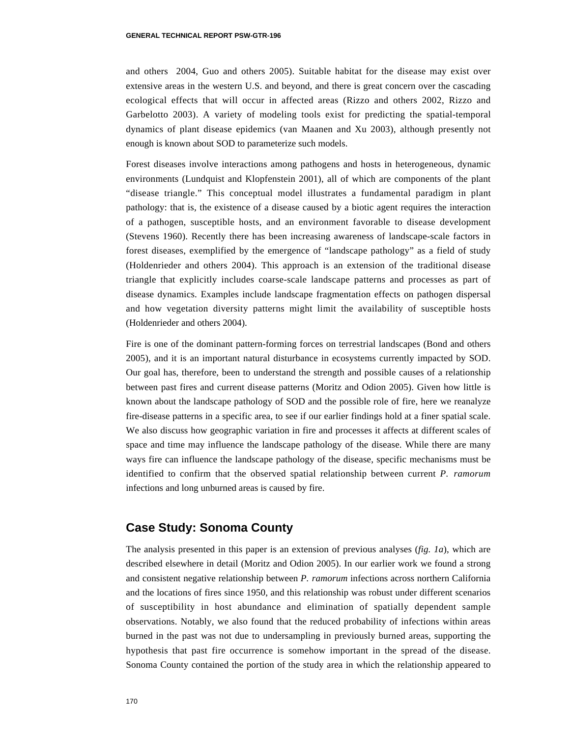and others 2004, Guo and others 2005). Suitable habitat for the disease may exist over extensive areas in the western U.S. and beyond, and there is great concern over the cascading ecological effects that will occur in affected areas (Rizzo and others 2002, Rizzo and Garbelotto 2003). A variety of modeling tools exist for predicting the spatial-temporal dynamics of plant disease epidemics (van Maanen and Xu 2003), although presently not enough is known about SOD to parameterize such models.

Forest diseases involve interactions among pathogens and hosts in heterogeneous, dynamic environments (Lundquist and Klopfenstein 2001), all of which are components of the plant "disease triangle." This conceptual model illustrates a fundamental paradigm in plant pathology: that is, the existence of a disease caused by a biotic agent requires the interaction of a pathogen, susceptible hosts, and an environment favorable to disease development (Stevens 1960). Recently there has been increasing awareness of landscape-scale factors in forest diseases, exemplified by the emergence of "landscape pathology" as a field of study (Holdenrieder and others 2004). This approach is an extension of the traditional disease triangle that explicitly includes coarse-scale landscape patterns and processes as part of disease dynamics. Examples include landscape fragmentation effects on pathogen dispersal and how vegetation diversity patterns might limit the availability of susceptible hosts (Holdenrieder and others 2004).

Fire is one of the dominant pattern-forming forces on terrestrial landscapes (Bond and others 2005), and it is an important natural disturbance in ecosystems currently impacted by SOD. Our goal has, therefore, been to understand the strength and possible causes of a relationship between past fires and current disease patterns (Moritz and Odion 2005). Given how little is known about the landscape pathology of SOD and the possible role of fire, here we reanalyze fire-disease patterns in a specific area, to see if our earlier findings hold at a finer spatial scale. We also discuss how geographic variation in fire and processes it affects at different scales of space and time may influence the landscape pathology of the disease. While there are many ways fire can influence the landscape pathology of the disease, specific mechanisms must be identified to confirm that the observed spatial relationship between current *P. ramorum* infections and long unburned areas is caused by fire.

#### **Case Study: Sonoma County**

The analysis presented in this paper is an extension of previous analyses (*fig. 1a*), which are described elsewhere in detail (Moritz and Odion 2005). In our earlier work we found a strong and consistent negative relationship between *P. ramorum* infections across northern California and the locations of fires since 1950, and this relationship was robust under different scenarios of susceptibility in host abundance and elimination of spatially dependent sample observations. Notably, we also found that the reduced probability of infections within areas burned in the past was not due to undersampling in previously burned areas, supporting the hypothesis that past fire occurrence is somehow important in the spread of the disease. Sonoma County contained the portion of the study area in which the relationship appeared to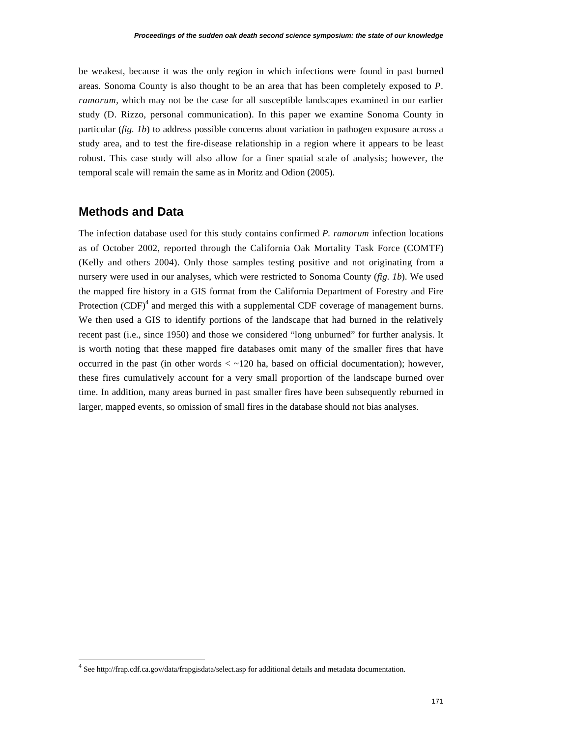be weakest, because it was the only region in which infections were found in past burned areas. Sonoma County is also thought to be an area that has been completely exposed to *P. ramorum*, which may not be the case for all susceptible landscapes examined in our earlier study (D. Rizzo, personal communication). In this paper we examine Sonoma County in particular (*fig. 1b*) to address possible concerns about variation in pathogen exposure across a study area, and to test the fire-disease relationship in a region where it appears to be least robust. This case study will also allow for a finer spatial scale of analysis; however, the temporal scale will remain the same as in Moritz and Odion (2005).

# **Methods and Data**

The infection database used for this study contains confirmed *P. ramorum* infection locations as of October 2002, reported through the California Oak Mortality Task Force (COMTF) (Kelly and others 2004). Only those samples testing positive and not originating from a nursery were used in our analyses, which were restricted to Sonoma County (*fig. 1b*). We used the mapped fire history in a GIS format from the California Department of Forestry and Fire Protection  $(CDF)^4$  and merged this with a supplemental CDF coverage of management burns. We then used a GIS to identify portions of the landscape that had burned in the relatively recent past (i.e., since 1950) and those we considered "long unburned" for further analysis. It is worth noting that these mapped fire databases omit many of the smaller fires that have occurred in the past (in other words  $\lt \sim 120$  ha, based on official documentation); however, these fires cumulatively account for a very small proportion of the landscape burned over time. In addition, many areas burned in past smaller fires have been subsequently reburned in larger, mapped events, so omission of small fires in the database should not bias analyses.

 <sup>4</sup> See http://frap.cdf.ca.gov/data/frapgisdata/select.asp for additional details and metadata documentation.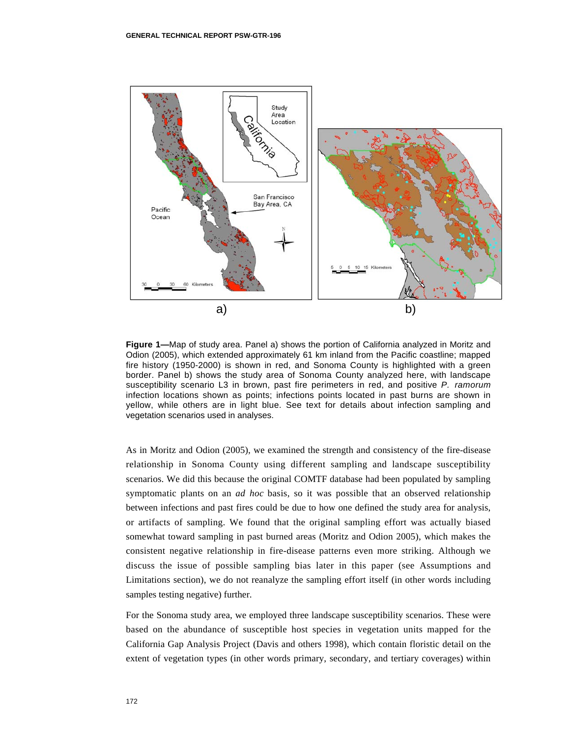

**Figure 1—**Map of study area. Panel a) shows the portion of California analyzed in Moritz and Odion (2005), which extended approximately 61 km inland from the Pacific coastline; mapped fire history (1950-2000) is shown in red, and Sonoma County is highlighted with a green border. Panel b) shows the study area of Sonoma County analyzed here, with landscape susceptibility scenario L3 in brown, past fire perimeters in red, and positive *P. ramorum* infection locations shown as points; infections points located in past burns are shown in yellow, while others are in light blue. See text for details about infection sampling and vegetation scenarios used in analyses.

As in Moritz and Odion (2005), we examined the strength and consistency of the fire-disease relationship in Sonoma County using different sampling and landscape susceptibility scenarios. We did this because the original COMTF database had been populated by sampling symptomatic plants on an *ad hoc* basis, so it was possible that an observed relationship between infections and past fires could be due to how one defined the study area for analysis, or artifacts of sampling. We found that the original sampling effort was actually biased somewhat toward sampling in past burned areas (Moritz and Odion 2005), which makes the consistent negative relationship in fire-disease patterns even more striking. Although we discuss the issue of possible sampling bias later in this paper (see Assumptions and Limitations section), we do not reanalyze the sampling effort itself (in other words including samples testing negative) further.

For the Sonoma study area, we employed three landscape susceptibility scenarios. These were based on the abundance of susceptible host species in vegetation units mapped for the California Gap Analysis Project (Davis and others 1998), which contain floristic detail on the extent of vegetation types (in other words primary, secondary, and tertiary coverages) within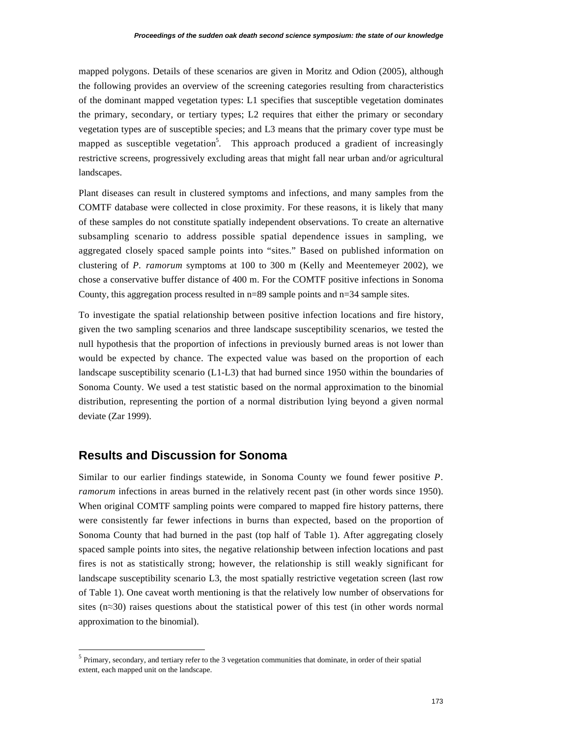mapped polygons. Details of these scenarios are given in Moritz and Odion (2005), although the following provides an overview of the screening categories resulting from characteristics of the dominant mapped vegetation types: L1 specifies that susceptible vegetation dominates the primary, secondary, or tertiary types; L2 requires that either the primary or secondary vegetation types are of susceptible species; and L3 means that the primary cover type must be mapped as susceptible vegetation<sup>5</sup>. This approach produced a gradient of increasingly restrictive screens, progressively excluding areas that might fall near urban and/or agricultural landscapes.

Plant diseases can result in clustered symptoms and infections, and many samples from the COMTF database were collected in close proximity. For these reasons, it is likely that many of these samples do not constitute spatially independent observations. To create an alternative subsampling scenario to address possible spatial dependence issues in sampling, we aggregated closely spaced sample points into "sites." Based on published information on clustering of *P. ramorum* symptoms at 100 to 300 m (Kelly and Meentemeyer 2002), we chose a conservative buffer distance of 400 m. For the COMTF positive infections in Sonoma County, this aggregation process resulted in  $n=89$  sample points and  $n=34$  sample sites.

To investigate the spatial relationship between positive infection locations and fire history, given the two sampling scenarios and three landscape susceptibility scenarios, we tested the null hypothesis that the proportion of infections in previously burned areas is not lower than would be expected by chance. The expected value was based on the proportion of each landscape susceptibility scenario (L1-L3) that had burned since 1950 within the boundaries of Sonoma County. We used a test statistic based on the normal approximation to the binomial distribution, representing the portion of a normal distribution lying beyond a given normal deviate (Zar 1999).

# **Results and Discussion for Sonoma**

Similar to our earlier findings statewide, in Sonoma County we found fewer positive *P. ramorum* infections in areas burned in the relatively recent past (in other words since 1950). When original COMTF sampling points were compared to mapped fire history patterns, there were consistently far fewer infections in burns than expected, based on the proportion of Sonoma County that had burned in the past (top half of Table 1). After aggregating closely spaced sample points into sites, the negative relationship between infection locations and past fires is not as statistically strong; however, the relationship is still weakly significant for landscape susceptibility scenario L3, the most spatially restrictive vegetation screen (last row of Table 1). One caveat worth mentioning is that the relatively low number of observations for sites ( $n \approx 30$ ) raises questions about the statistical power of this test (in other words normal approximation to the binomial).

 <sup>5</sup> Primary, secondary, and tertiary refer to the 3 vegetation communities that dominate, in order of their spatial extent, each mapped unit on the landscape.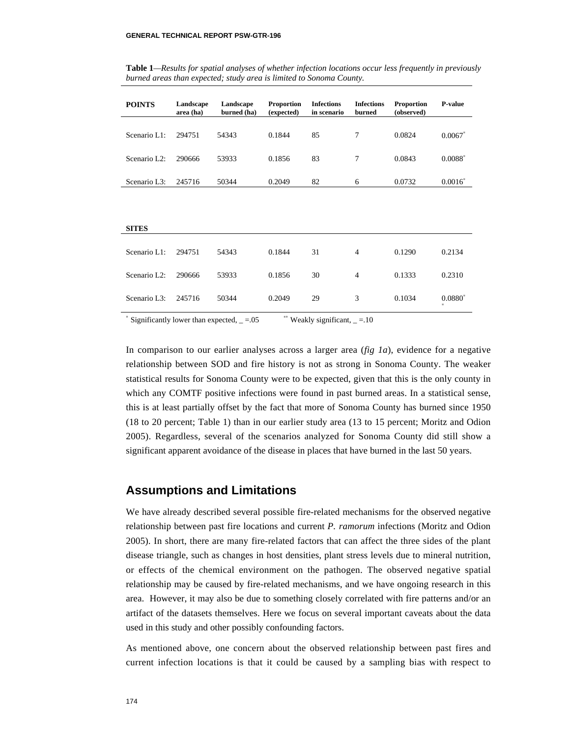| <b>POINTS</b>             | Landscape<br>area (ha) | Landscape<br>burned (ha) | <b>Proportion</b><br>(expected) | <b>Infections</b><br>in scenario | <b>Infections</b><br>burned | <b>Proportion</b><br>(observed) | P-value   |
|---------------------------|------------------------|--------------------------|---------------------------------|----------------------------------|-----------------------------|---------------------------------|-----------|
|                           |                        |                          |                                 |                                  |                             |                                 |           |
| Scenario L1:              | 294751                 | 54343                    | 0.1844                          | 85                               | 7                           | 0.0824                          | 0.0067    |
| Scenario L <sub>2</sub> : | 290666                 | 53933                    | 0.1856                          | 83                               | $\overline{7}$              | 0.0843                          | $0.0088*$ |
|                           |                        |                          |                                 |                                  |                             |                                 |           |
| Scenario L3:              | 245716                 | 50344                    | 0.2049                          | 82                               | 6                           | 0.0732                          | $0.0016*$ |
|                           |                        |                          |                                 |                                  |                             |                                 |           |
|                           |                        |                          |                                 |                                  |                             |                                 |           |
|                           |                        |                          |                                 |                                  |                             |                                 |           |
| <b>SITES</b>              |                        |                          |                                 |                                  |                             |                                 |           |
|                           |                        |                          |                                 |                                  |                             |                                 |           |
| Scenario L1:              | 294751                 | 54343                    | 0.1844                          | 31                               | 4                           | 0.1290                          | 0.2134    |
|                           |                        |                          |                                 |                                  |                             |                                 |           |
| Scenario L <sub>2</sub> : | 290666                 | 53933                    | 0.1856                          | 30                               | $\overline{4}$              | 0.1333                          | 0.2310    |
| Scenario L3:              | 245716                 | 50344                    | 0.2049                          | 29                               | 3                           | 0.1034                          | $0.0880*$ |
|                           |                        |                          |                                 |                                  |                             |                                 | $\ast$    |
| <b>Service</b>            |                        |                          |                                 |                                  |                             |                                 |           |

**Table 1***—Results for spatial analyses of whether infection locations occur less frequently in previously burned areas than expected; study area is limited to Sonoma County.*

Significantly lower than expected,  $= .05$  **\*\*** Weakly significant,  $= .10$ 

In comparison to our earlier analyses across a larger area (*fig 1a*), evidence for a negative relationship between SOD and fire history is not as strong in Sonoma County. The weaker statistical results for Sonoma County were to be expected, given that this is the only county in which any COMTF positive infections were found in past burned areas. In a statistical sense, this is at least partially offset by the fact that more of Sonoma County has burned since 1950 (18 to 20 percent; Table 1) than in our earlier study area (13 to 15 percent; Moritz and Odion 2005). Regardless, several of the scenarios analyzed for Sonoma County did still show a significant apparent avoidance of the disease in places that have burned in the last 50 years.

#### **Assumptions and Limitations**

We have already described several possible fire-related mechanisms for the observed negative relationship between past fire locations and current *P. ramorum* infections (Moritz and Odion 2005). In short, there are many fire-related factors that can affect the three sides of the plant disease triangle, such as changes in host densities, plant stress levels due to mineral nutrition, or effects of the chemical environment on the pathogen. The observed negative spatial relationship may be caused by fire-related mechanisms, and we have ongoing research in this area. However, it may also be due to something closely correlated with fire patterns and/or an artifact of the datasets themselves. Here we focus on several important caveats about the data used in this study and other possibly confounding factors.

As mentioned above, one concern about the observed relationship between past fires and current infection locations is that it could be caused by a sampling bias with respect to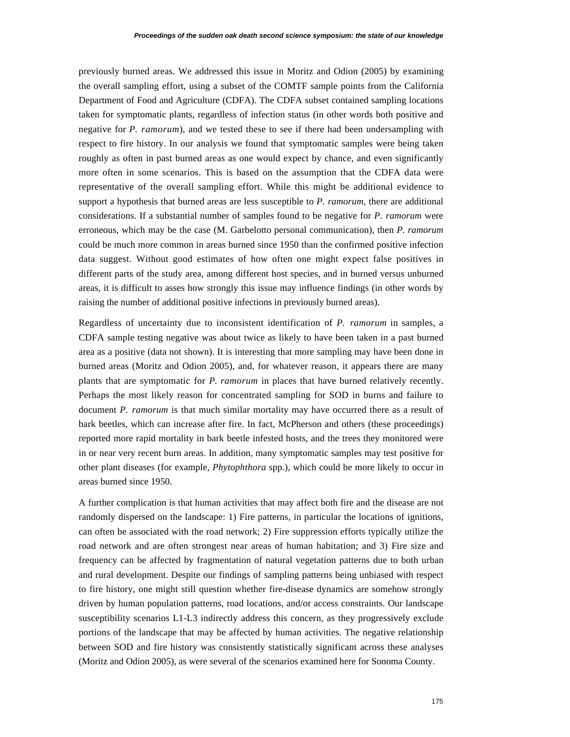previously burned areas. We addressed this issue in Moritz and Odion (2005) by examining the overall sampling effort, using a subset of the COMTF sample points from the California Department of Food and Agriculture (CDFA). The CDFA subset contained sampling locations taken for symptomatic plants, regardless of infection status (in other words both positive and negative for *P. ramorum*), and we tested these to see if there had been undersampling with respect to fire history. In our analysis we found that symptomatic samples were being taken roughly as often in past burned areas as one would expect by chance, and even significantly more often in some scenarios. This is based on the assumption that the CDFA data were representative of the overall sampling effort. While this might be additional evidence to support a hypothesis that burned areas are less susceptible to *P. ramorum*, there are additional considerations. If a substantial number of samples found to be negative for *P. ramorum* were erroneous, which may be the case (M. Garbelotto personal communication), then *P. ramorum* could be much more common in areas burned since 1950 than the confirmed positive infection data suggest. Without good estimates of how often one might expect false positives in different parts of the study area, among different host species, and in burned versus unburned areas, it is difficult to asses how strongly this issue may influence findings (in other words by raising the number of additional positive infections in previously burned areas).

Regardless of uncertainty due to inconsistent identification of *P. ramorum* in samples, a CDFA sample testing negative was about twice as likely to have been taken in a past burned area as a positive (data not shown). It is interesting that more sampling may have been done in burned areas (Moritz and Odion 2005), and, for whatever reason, it appears there are many plants that are symptomatic for *P. ramorum* in places that have burned relatively recently. Perhaps the most likely reason for concentrated sampling for SOD in burns and failure to document *P. ramorum* is that much similar mortality may have occurred there as a result of bark beetles, which can increase after fire. In fact, McPherson and others (these proceedings) reported more rapid mortality in bark beetle infested hosts, and the trees they monitored were in or near very recent burn areas. In addition, many symptomatic samples may test positive for other plant diseases (for example, *Phytophthora* spp.), which could be more likely to occur in areas burned since 1950.

A further complication is that human activities that may affect both fire and the disease are not randomly dispersed on the landscape: 1) Fire patterns, in particular the locations of ignitions, can often be associated with the road network; 2) Fire suppression efforts typically utilize the road network and are often strongest near areas of human habitation; and 3) Fire size and frequency can be affected by fragmentation of natural vegetation patterns due to both urban and rural development. Despite our findings of sampling patterns being unbiased with respect to fire history, one might still question whether fire-disease dynamics are somehow strongly driven by human population patterns, road locations, and/or access constraints. Our landscape susceptibility scenarios L1-L3 indirectly address this concern, as they progressively exclude portions of the landscape that may be affected by human activities. The negative relationship between SOD and fire history was consistently statistically significant across these analyses (Moritz and Odion 2005), as were several of the scenarios examined here for Sonoma County.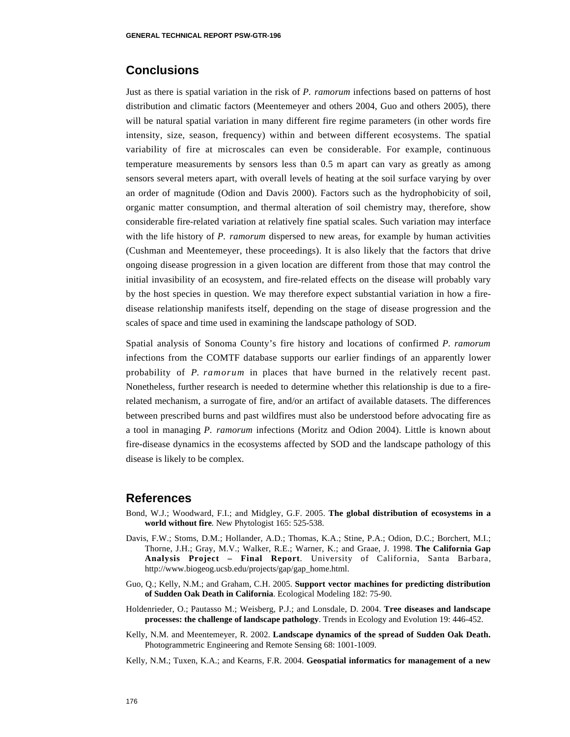# **Conclusions**

Just as there is spatial variation in the risk of *P. ramorum* infections based on patterns of host distribution and climatic factors (Meentemeyer and others 2004, Guo and others 2005), there will be natural spatial variation in many different fire regime parameters (in other words fire intensity, size, season, frequency) within and between different ecosystems. The spatial variability of fire at microscales can even be considerable. For example, continuous temperature measurements by sensors less than 0.5 m apart can vary as greatly as among sensors several meters apart, with overall levels of heating at the soil surface varying by over an order of magnitude (Odion and Davis 2000). Factors such as the hydrophobicity of soil, organic matter consumption, and thermal alteration of soil chemistry may, therefore, show considerable fire-related variation at relatively fine spatial scales. Such variation may interface with the life history of *P. ramorum* dispersed to new areas, for example by human activities (Cushman and Meentemeyer, these proceedings). It is also likely that the factors that drive ongoing disease progression in a given location are different from those that may control the initial invasibility of an ecosystem, and fire-related effects on the disease will probably vary by the host species in question. We may therefore expect substantial variation in how a firedisease relationship manifests itself, depending on the stage of disease progression and the scales of space and time used in examining the landscape pathology of SOD.

Spatial analysis of Sonoma County's fire history and locations of confirmed *P. ramorum* infections from the COMTF database supports our earlier findings of an apparently lower probability of *P. ramorum* in places that have burned in the relatively recent past. Nonetheless, further research is needed to determine whether this relationship is due to a firerelated mechanism, a surrogate of fire, and/or an artifact of available datasets. The differences between prescribed burns and past wildfires must also be understood before advocating fire as a tool in managing *P. ramorum* infections (Moritz and Odion 2004). Little is known about fire-disease dynamics in the ecosystems affected by SOD and the landscape pathology of this disease is likely to be complex.

# **References**

- Bond, W.J.; Woodward, F.I.; and Midgley, G.F. 2005. **The global distribution of ecosystems in a world without fire***.* New Phytologist 165: 525-538.
- Davis, F.W.; Stoms, D.M.; Hollander, A.D.; Thomas, K.A.; Stine, P.A.; Odion, D.C.; Borchert, M.I.; Thorne, J.H.; Gray, M.V.; Walker, R.E.; Warner, K.; and Graae, J. 1998. **The California Gap Analysis Project – Final Report***.* University of California, Santa Barbara, http://www.biogeog.ucsb.edu/projects/gap/gap\_home.html.
- Guo, Q.; Kelly, N.M.; and Graham, C.H. 2005. **Support vector machines for predicting distribution of Sudden Oak Death in California**. Ecological Modeling 182: 75-90.
- Holdenrieder, O.; Pautasso M.; Weisberg, P.J.; and Lonsdale, D. 2004. **Tree diseases and landscape processes: the challenge of landscape pathology**. Trends in Ecology and Evolution 19: 446-452.
- Kelly, N.M. and Meentemeyer, R. 2002. **Landscape dynamics of the spread of Sudden Oak Death.** Photogrammetric Engineering and Remote Sensing 68: 1001-1009.

Kelly, N.M.; Tuxen, K.A.; and Kearns, F.R. 2004. **Geospatial informatics for management of a new**